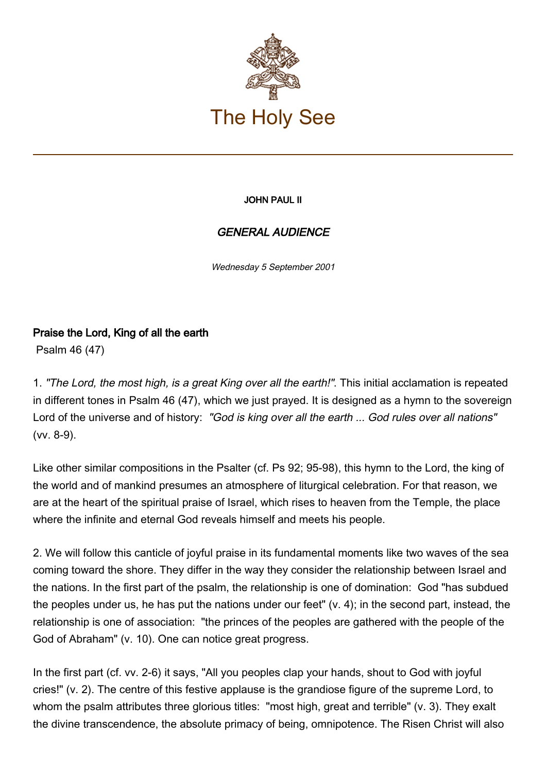

## JOHN PAUL II

## GENERAL AUDIENCE

Wednesday 5 September 2001

## Praise the Lord, King of all the earth

Psalm 46 (47)

1. "The Lord, the most high, is a great King over all the earth!". This initial acclamation is repeated in different tones in Psalm 46 (47), which we just prayed. It is designed as a hymn to the sovereign Lord of the universe and of history: "God is king over all the earth ... God rules over all nations" (vv. 8-9).

Like other similar compositions in the Psalter (cf. Ps 92; 95-98), this hymn to the Lord, the king of the world and of mankind presumes an atmosphere of liturgical celebration. For that reason, we are at the heart of the spiritual praise of Israel, which rises to heaven from the Temple, the place where the infinite and eternal God reveals himself and meets his people.

2. We will follow this canticle of joyful praise in its fundamental moments like two waves of the sea coming toward the shore. They differ in the way they consider the relationship between Israel and the nations. In the first part of the psalm, the relationship is one of domination: God "has subdued the peoples under us, he has put the nations under our feet" (v. 4); in the second part, instead, the relationship is one of association: "the princes of the peoples are gathered with the people of the God of Abraham" (v. 10). One can notice great progress.

In the first part (cf. vv. 2-6) it says, "All you peoples clap your hands, shout to God with joyful cries!" (v. 2). The centre of this festive applause is the grandiose figure of the supreme Lord, to whom the psalm attributes three glorious titles: "most high, great and terrible" (v. 3). They exalt the divine transcendence, the absolute primacy of being, omnipotence. The Risen Christ will also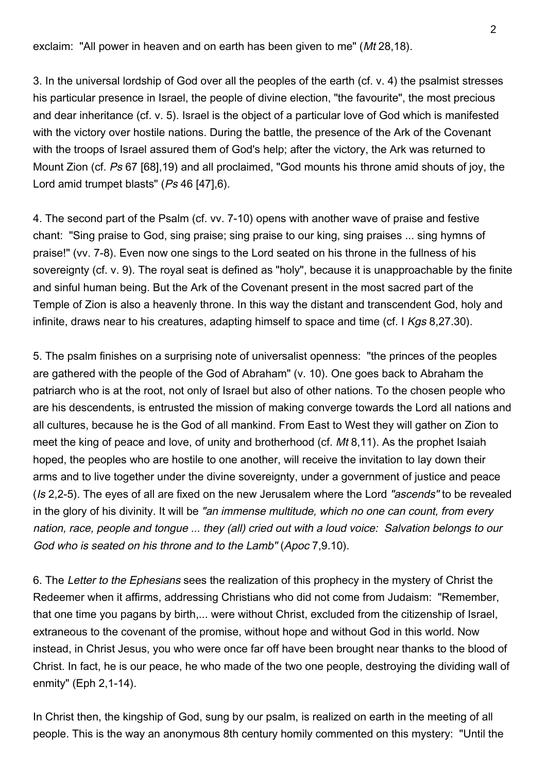exclaim: "All power in heaven and on earth has been given to me" (Mt 28,18).

3. In the universal lordship of God over all the peoples of the earth (cf. v. 4) the psalmist stresses his particular presence in Israel, the people of divine election, "the favourite", the most precious and dear inheritance (cf. v. 5). Israel is the object of a particular love of God which is manifested with the victory over hostile nations. During the battle, the presence of the Ark of the Covenant with the troops of Israel assured them of God's help; after the victory, the Ark was returned to Mount Zion (cf. Ps 67 [68],19) and all proclaimed, "God mounts his throne amid shouts of joy, the Lord amid trumpet blasts" (Ps 46 [47],6).

4. The second part of the Psalm (cf. vv. 7-10) opens with another wave of praise and festive chant: "Sing praise to God, sing praise; sing praise to our king, sing praises ... sing hymns of praise!" (vv. 7-8). Even now one sings to the Lord seated on his throne in the fullness of his sovereignty (cf. v. 9). The royal seat is defined as "holy", because it is unapproachable by the finite and sinful human being. But the Ark of the Covenant present in the most sacred part of the Temple of Zion is also a heavenly throne. In this way the distant and transcendent God, holy and infinite, draws near to his creatures, adapting himself to space and time (cf. I  $Kqs$  8,27.30).

5. The psalm finishes on a surprising note of universalist openness: "the princes of the peoples are gathered with the people of the God of Abraham" (v. 10). One goes back to Abraham the patriarch who is at the root, not only of Israel but also of other nations. To the chosen people who are his descendents, is entrusted the mission of making converge towards the Lord all nations and all cultures, because he is the God of all mankind. From East to West they will gather on Zion to meet the king of peace and love, of unity and brotherhood (cf. Mt 8,11). As the prophet Isaiah hoped, the peoples who are hostile to one another, will receive the invitation to lay down their arms and to live together under the divine sovereignty, under a government of justice and peace (Is 2,2-5). The eyes of all are fixed on the new Jerusalem where the Lord "ascends" to be revealed in the glory of his divinity. It will be "an immense multitude, which no one can count, from every nation, race, people and tongue ... they (all) cried out with a loud voice: Salvation belongs to our God who is seated on his throne and to the Lamb" (Apoc 7,9.10).

6. The Letter to the Ephesians sees the realization of this prophecy in the mystery of Christ the Redeemer when it affirms, addressing Christians who did not come from Judaism: "Remember, that one time you pagans by birth,... were without Christ, excluded from the citizenship of Israel, extraneous to the covenant of the promise, without hope and without God in this world. Now instead, in Christ Jesus, you who were once far off have been brought near thanks to the blood of Christ. In fact, he is our peace, he who made of the two one people, destroying the dividing wall of enmity" (Eph 2,1-14).

In Christ then, the kingship of God, sung by our psalm, is realized on earth in the meeting of all people. This is the way an anonymous 8th century homily commented on this mystery: "Until the